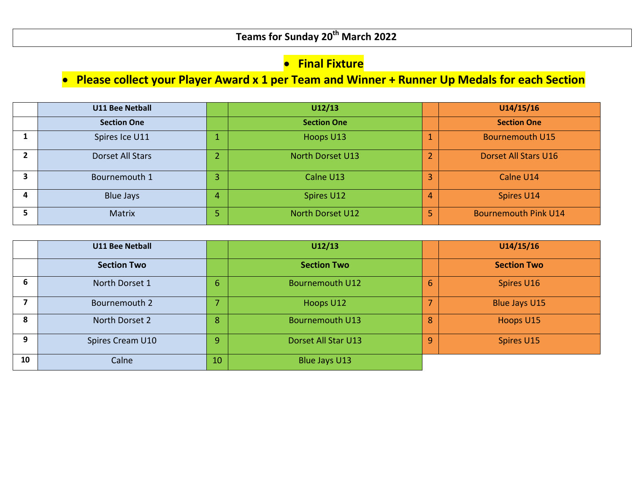## **•** Final Fixture

## **Please collect your Player Award x 1 per Team and Winner + Runner Up Medals for each Section**

|   | <b>U11 Bee Netball</b> |   | U12/13                  |   | U14/15/16                   |
|---|------------------------|---|-------------------------|---|-----------------------------|
|   | <b>Section One</b>     |   | <b>Section One</b>      |   | <b>Section One</b>          |
|   | Spires Ice U11         |   | Hoops U13               |   | <b>Bournemouth U15</b>      |
|   | Dorset All Stars       |   | <b>North Dorset U13</b> |   | Dorset All Stars U16        |
|   | Bournemouth 1          |   | Calne U13               |   | Calne U14                   |
| 4 | <b>Blue Jays</b>       | 4 | Spires U12              | 4 | Spires U14                  |
|   | Matrix                 |   | <b>North Dorset U12</b> |   | <b>Bournemouth Pink U14</b> |

|    | <b>U11 Bee Netball</b> |    | U12/13                 |   | U14/15/16            |
|----|------------------------|----|------------------------|---|----------------------|
|    | <b>Section Two</b>     |    | <b>Section Two</b>     |   | <b>Section Two</b>   |
| 6  | North Dorset 1         | 6. | <b>Bournemouth U12</b> | 6 | Spires U16           |
|    | Bournemouth 2          |    | Hoops U12              |   | <b>Blue Jays U15</b> |
|    | North Dorset 2         | 8  | <b>Bournemouth U13</b> | 8 | Hoops U15            |
| q  | Spires Cream U10       | 9  | Dorset All Star U13    | 9 | Spires U15           |
| 10 | Calne                  | 10 | Blue Jays U13          |   |                      |